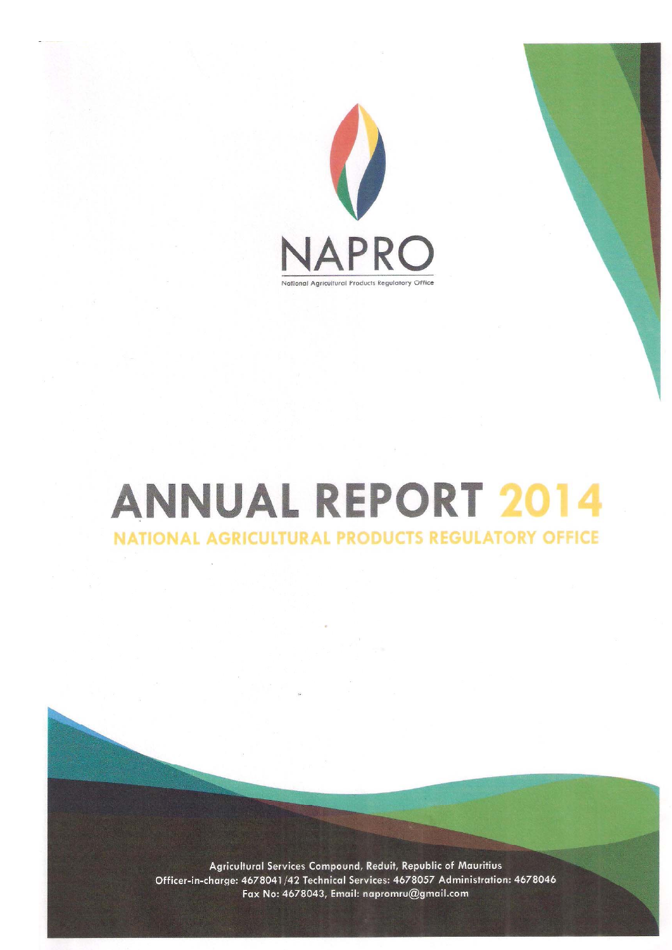

# **ANNUAL REPORT 2014** NATIONAL AGRICULTURAL PRODUCTS REGULATORY OFFICE

Agricultural Services Compound, Reduit, Republic of Mauritius Officer-in-charge: 4678041/42 Technical Services: 4678057 Administration: 4678046 Fax No: 4678043, Email: napromru@gmail.com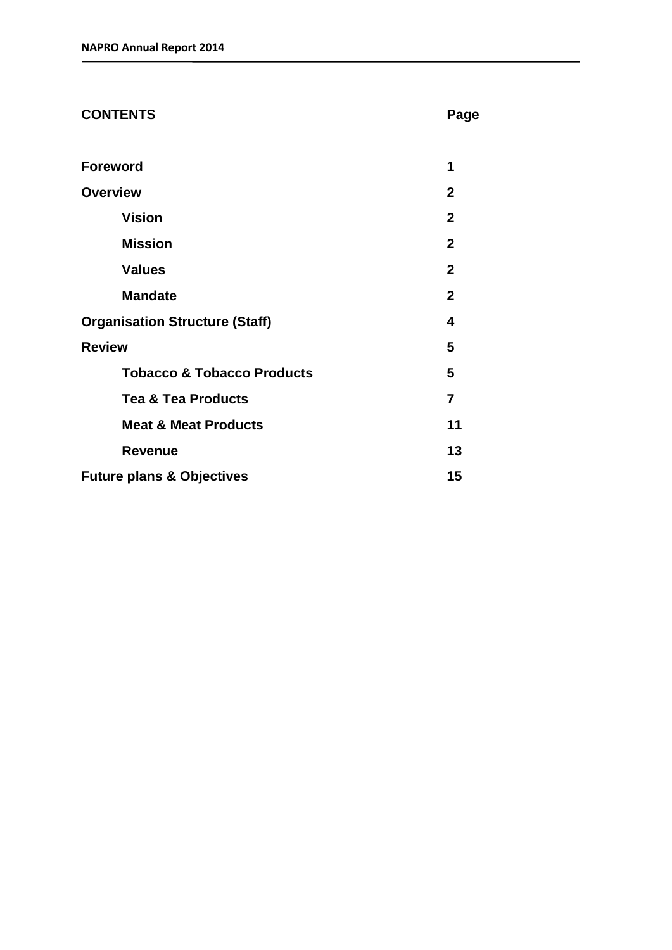| <b>CONTENTS</b> | Page |
|-----------------|------|
|                 |      |

| <b>Foreword</b>                       | 1              |
|---------------------------------------|----------------|
| <b>Overview</b>                       | $\mathbf{2}$   |
| <b>Vision</b>                         | $\mathbf{2}$   |
| <b>Mission</b>                        | $\mathbf{2}$   |
| <b>Values</b>                         | $\mathbf{2}$   |
| <b>Mandate</b>                        | $\mathbf{2}$   |
| <b>Organisation Structure (Staff)</b> | 4              |
| <b>Review</b>                         | 5              |
| <b>Tobacco &amp; Tobacco Products</b> | 5              |
| <b>Tea &amp; Tea Products</b>         | $\overline{7}$ |
| <b>Meat &amp; Meat Products</b>       | 11             |
| <b>Revenue</b>                        | 13             |
| <b>Future plans &amp; Objectives</b>  | 15             |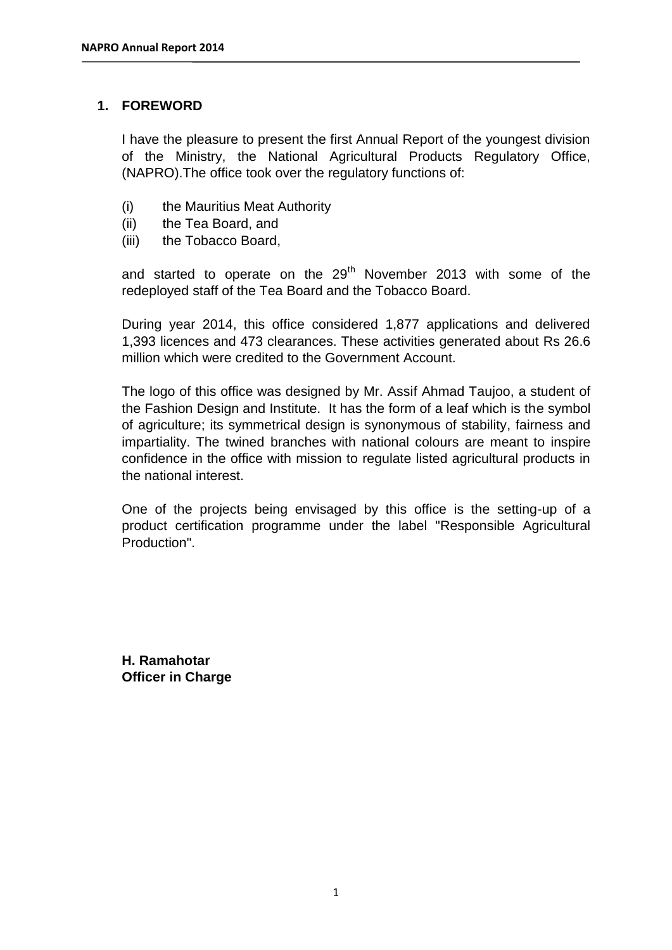## **1. FOREWORD**

I have the pleasure to present the first Annual Report of the youngest division of the Ministry, the National Agricultural Products Regulatory Office, (NAPRO).The office took over the regulatory functions of:

- (i) the Mauritius Meat Authority
- (ii) the Tea Board, and
- (iii) the Tobacco Board,

and started to operate on the  $29<sup>th</sup>$  November 2013 with some of the redeployed staff of the Tea Board and the Tobacco Board.

During year 2014, this office considered 1,877 applications and delivered 1,393 licences and 473 clearances. These activities generated about Rs 26.6 million which were credited to the Government Account.

The logo of this office was designed by Mr. Assif Ahmad Taujoo, a student of the Fashion Design and Institute. It has the form of a leaf which is the symbol of agriculture; its symmetrical design is synonymous of stability, fairness and impartiality. The twined branches with national colours are meant to inspire confidence in the office with mission to regulate listed agricultural products in the national interest.

One of the projects being envisaged by this office is the setting-up of a product certification programme under the label "Responsible Agricultural Production".

**H. Ramahotar Officer in Charge**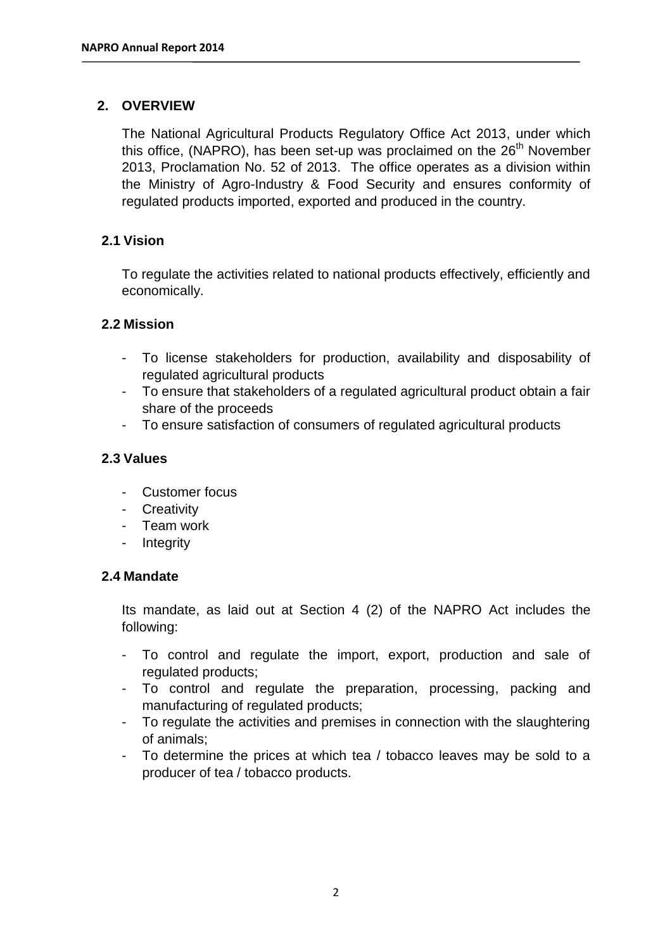## **2. OVERVIEW**

The National Agricultural Products Regulatory Office Act 2013, under which this office, (NAPRO), has been set-up was proclaimed on the  $26<sup>th</sup>$  November 2013, Proclamation No. 52 of 2013. The office operates as a division within the Ministry of Agro-Industry & Food Security and ensures conformity of regulated products imported, exported and produced in the country.

## **2.1 Vision**

To regulate the activities related to national products effectively, efficiently and economically.

#### **2.2 Mission**

- To license stakeholders for production, availability and disposability of regulated agricultural products
- To ensure that stakeholders of a regulated agricultural product obtain a fair share of the proceeds
- To ensure satisfaction of consumers of regulated agricultural products

## **2.3 Values**

- Customer focus
- Creativity
- Team work
- Integrity

#### **2.4 Mandate**

Its mandate, as laid out at Section 4 (2) of the NAPRO Act includes the following:

- To control and regulate the import, export, production and sale of regulated products;
- To control and regulate the preparation, processing, packing and manufacturing of regulated products;
- To regulate the activities and premises in connection with the slaughtering of animals;
- To determine the prices at which tea / tobacco leaves may be sold to a producer of tea / tobacco products.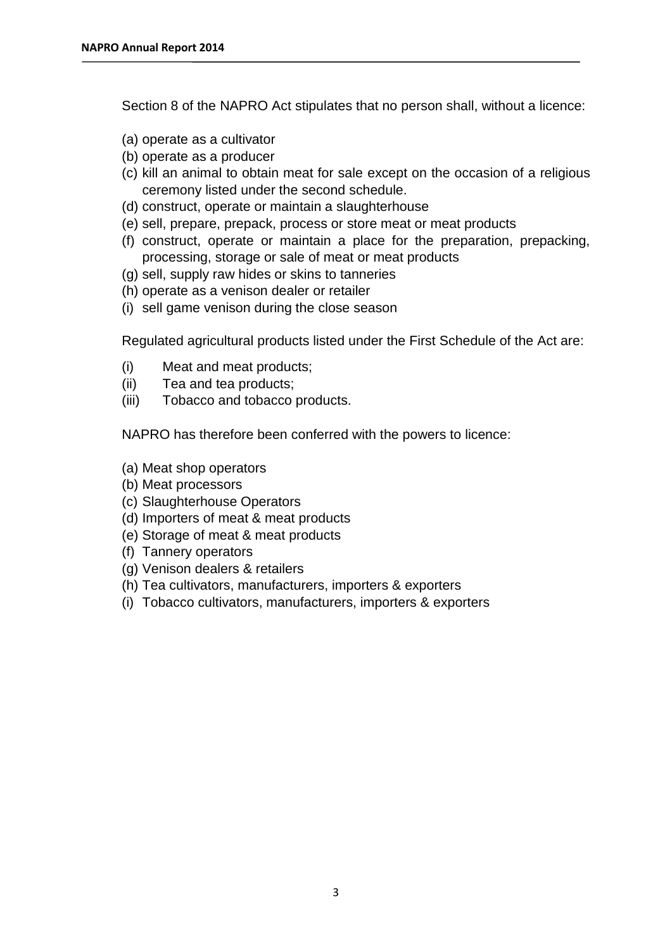Section 8 of the NAPRO Act stipulates that no person shall, without a licence:

- (a) operate as a cultivator
- (b) operate as a producer
- (c) kill an animal to obtain meat for sale except on the occasion of a religious ceremony listed under the second schedule.
- (d) construct, operate or maintain a slaughterhouse
- (e) sell, prepare, prepack, process or store meat or meat products
- (f) construct, operate or maintain a place for the preparation, prepacking, processing, storage or sale of meat or meat products
- (g) sell, supply raw hides or skins to tanneries
- (h) operate as a venison dealer or retailer
- (i) sell game venison during the close season

Regulated agricultural products listed under the First Schedule of the Act are:

- (i) Meat and meat products;
- (ii) Tea and tea products;
- (iii) Tobacco and tobacco products.

NAPRO has therefore been conferred with the powers to licence:

- (a) Meat shop operators
- (b) Meat processors
- (c) Slaughterhouse Operators
- (d) Importers of meat & meat products
- (e) Storage of meat & meat products
- (f) Tannery operators
- (g) Venison dealers & retailers
- (h) Tea cultivators, manufacturers, importers & exporters
- (i) Tobacco cultivators, manufacturers, importers & exporters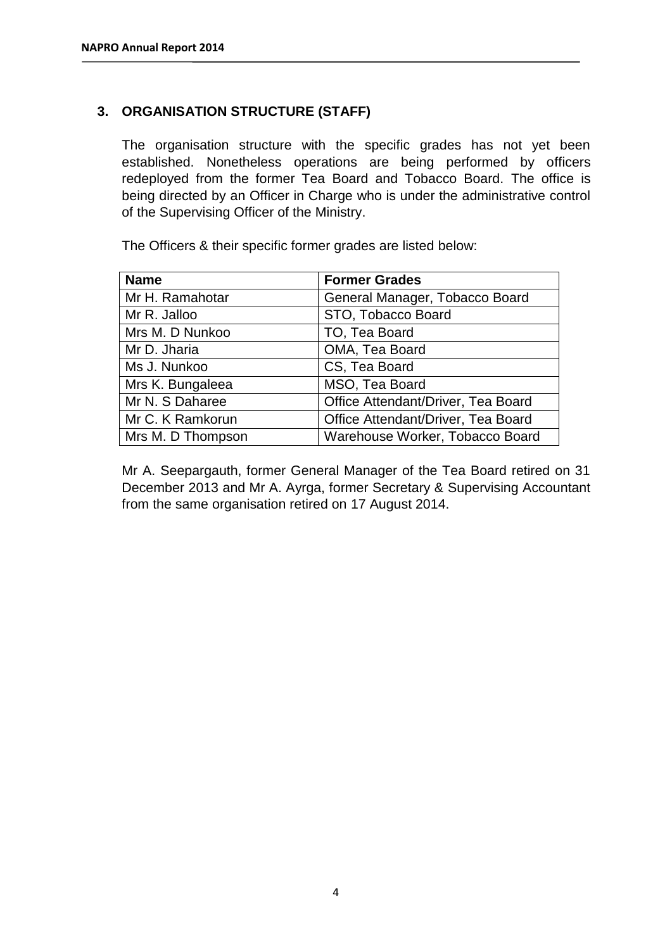## **3. ORGANISATION STRUCTURE (STAFF)**

The organisation structure with the specific grades has not yet been established. Nonetheless operations are being performed by officers redeployed from the former Tea Board and Tobacco Board. The office is being directed by an Officer in Charge who is under the administrative control of the Supervising Officer of the Ministry.

The Officers & their specific former grades are listed below:

| <b>Name</b>       | <b>Former Grades</b>               |
|-------------------|------------------------------------|
| Mr H. Ramahotar   | General Manager, Tobacco Board     |
| Mr R. Jalloo      | STO, Tobacco Board                 |
| Mrs M. D Nunkoo   | TO, Tea Board                      |
| Mr D. Jharia      | OMA, Tea Board                     |
| Ms J. Nunkoo      | CS, Tea Board                      |
| Mrs K. Bungaleea  | MSO, Tea Board                     |
| Mr N. S Daharee   | Office Attendant/Driver, Tea Board |
| Mr C. K Ramkorun  | Office Attendant/Driver, Tea Board |
| Mrs M. D Thompson | Warehouse Worker, Tobacco Board    |

Mr A. Seepargauth, former General Manager of the Tea Board retired on 31 December 2013 and Mr A. Ayrga, former Secretary & Supervising Accountant from the same organisation retired on 17 August 2014.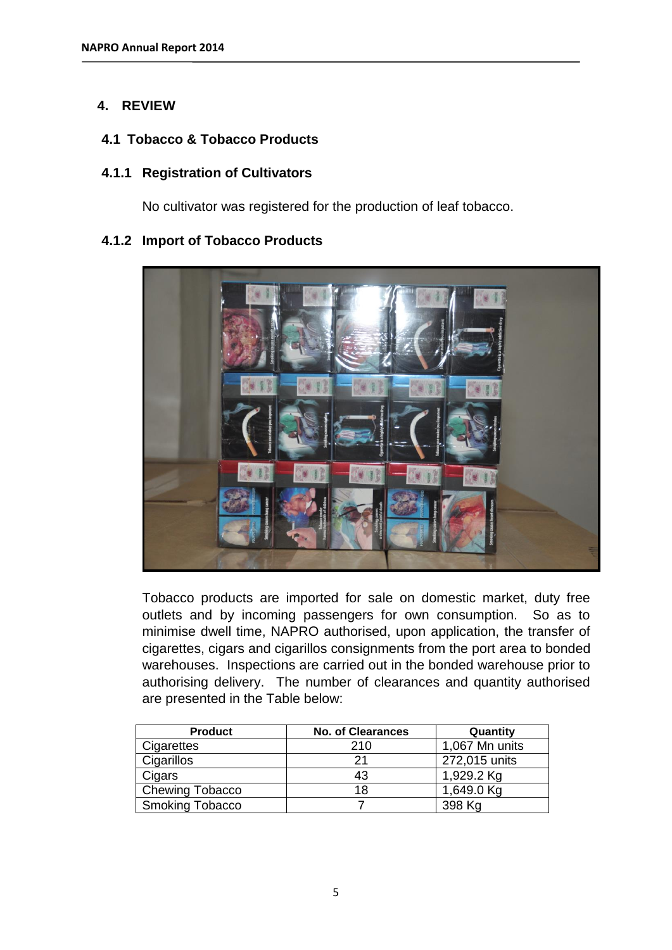## **4. REVIEW**

#### **4.1 Tobacco & Tobacco Products**

#### **4.1.1 Registration of Cultivators**

No cultivator was registered for the production of leaf tobacco.

#### **4.1.2 Import of Tobacco Products**



Tobacco products are imported for sale on domestic market, duty free outlets and by incoming passengers for own consumption. So as to minimise dwell time, NAPRO authorised, upon application, the transfer of cigarettes, cigars and cigarillos consignments from the port area to bonded warehouses. Inspections are carried out in the bonded warehouse prior to authorising delivery. The number of clearances and quantity authorised are presented in the Table below:

| <b>Product</b>         | <b>No. of Clearances</b> | Quantity       |
|------------------------|--------------------------|----------------|
| Cigarettes             | 210                      | 1,067 Mn units |
| Cigarillos             | 21                       | 272,015 units  |
| Cigars                 | 43                       | 1,929.2 Kg     |
| <b>Chewing Tobacco</b> | 18                       | 1,649.0 Kg     |
| <b>Smoking Tobacco</b> |                          | 398 Kg         |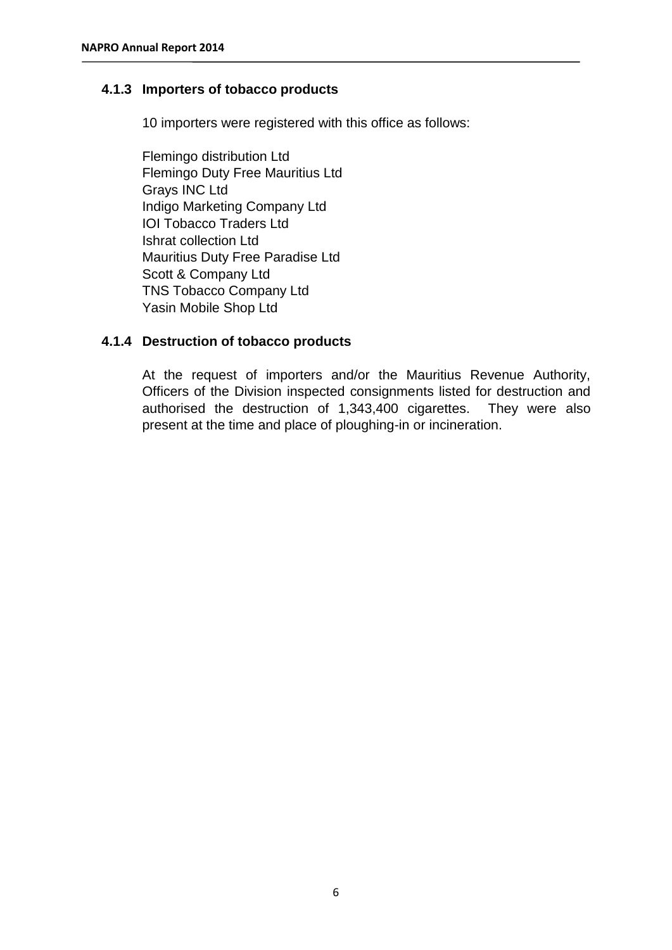## **4.1.3 Importers of tobacco products**

10 importers were registered with this office as follows:

Flemingo distribution Ltd Flemingo Duty Free Mauritius Ltd Grays INC Ltd Indigo Marketing Company Ltd IOI Tobacco Traders Ltd Ishrat collection Ltd Mauritius Duty Free Paradise Ltd Scott & Company Ltd TNS Tobacco Company Ltd Yasin Mobile Shop Ltd

## **4.1.4 Destruction of tobacco products**

At the request of importers and/or the Mauritius Revenue Authority, Officers of the Division inspected consignments listed for destruction and authorised the destruction of 1,343,400 cigarettes. They were also present at the time and place of ploughing-in or incineration.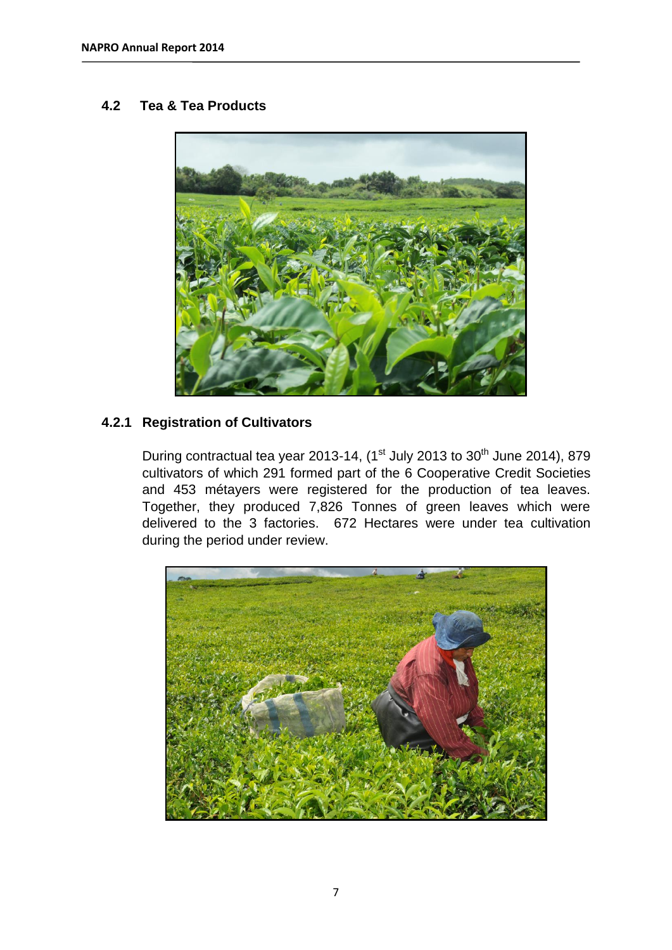## **4.2 Tea & Tea Products**



## **4.2.1 Registration of Cultivators**

During contractual tea year 2013-14, (1st July 2013 to  $30<sup>th</sup>$  June 2014), 879 cultivators of which 291 formed part of the 6 Cooperative Credit Societies and 453 métayers were registered for the production of tea leaves. Together, they produced 7,826 Tonnes of green leaves which were delivered to the 3 factories. 672 Hectares were under tea cultivation during the period under review.

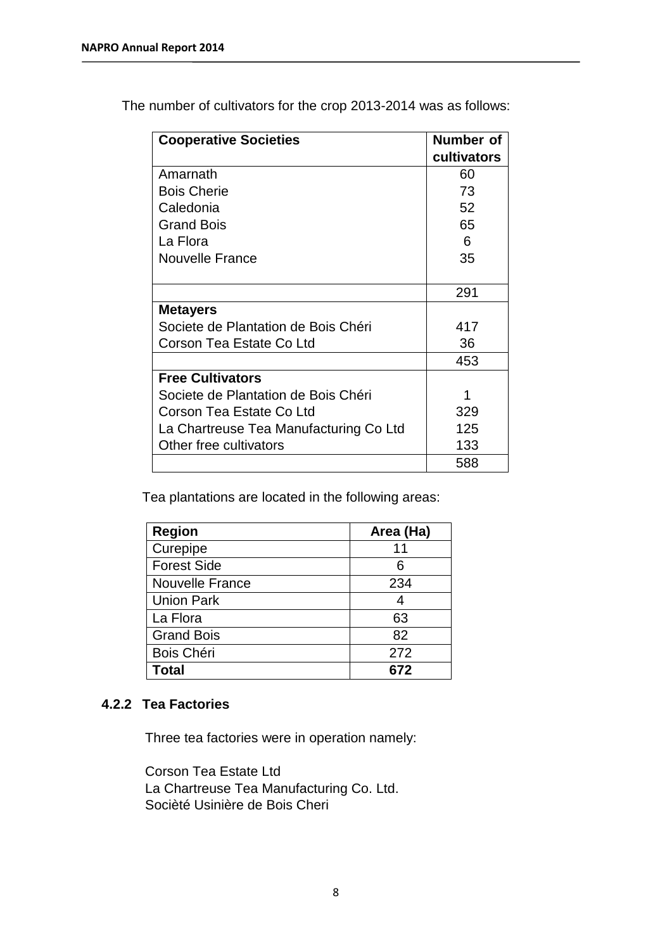| <b>Cooperative Societies</b>           | Number of   |
|----------------------------------------|-------------|
|                                        | cultivators |
| Amarnath                               | 60          |
| <b>Bois Cherie</b>                     | 73          |
| Caledonia                              | 52          |
| <b>Grand Bois</b>                      | 65          |
| La Flora                               | 6           |
| <b>Nouvelle France</b>                 | 35          |
|                                        |             |
|                                        | 291         |
| <b>Metayers</b>                        |             |
| Societe de Plantation de Bois Chéri    | 417         |
| Corson Tea Estate Co Ltd               | 36          |
|                                        | 453         |
| <b>Free Cultivators</b>                |             |
| Societe de Plantation de Bois Chéri    | 1           |
| Corson Tea Estate Co Ltd               | 329         |
| La Chartreuse Tea Manufacturing Co Ltd | 125         |
| Other free cultivators                 | 133         |
|                                        | 588         |

The number of cultivators for the crop 2013-2014 was as follows:

Tea plantations are located in the following areas:

| <b>Region</b>          | Area (Ha) |
|------------------------|-----------|
| Curepipe               | 11        |
| <b>Forest Side</b>     | 6         |
| <b>Nouvelle France</b> | 234       |
| <b>Union Park</b>      |           |
| La Flora               | 63        |
| <b>Grand Bois</b>      | 82        |
| Bois Chéri             | 272       |
| <b>Total</b>           | 672       |

#### **4.2.2 Tea Factories**

Three tea factories were in operation namely:

Corson Tea Estate Ltd La Chartreuse Tea Manufacturing Co. Ltd. Socièté Usinière de Bois Cheri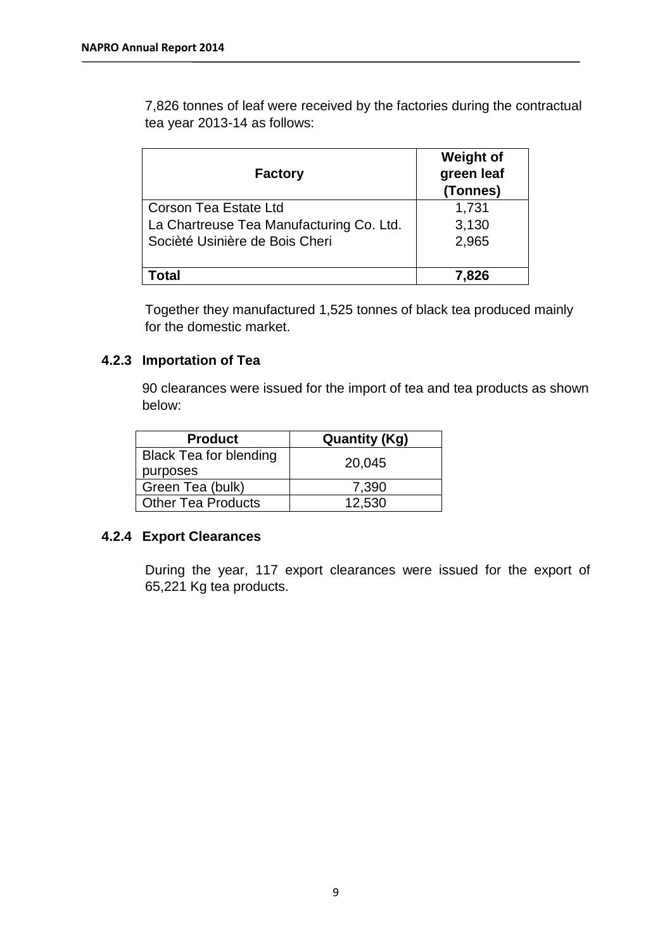7,826 tonnes of leaf were received by the factories during the contractual tea year 2013-14 as follows:

| <b>Factory</b>                           | <b>Weight of</b><br>green leaf<br>(Tonnes) |
|------------------------------------------|--------------------------------------------|
| Corson Tea Estate Ltd                    | 1,731                                      |
| La Chartreuse Tea Manufacturing Co. Ltd. | 3,130                                      |
| Socièté Usinière de Bois Cheri           | 2,965                                      |
| ⊺otal                                    | 7.826                                      |

Together they manufactured 1,525 tonnes of black tea produced mainly for the domestic market.

## **4.2.3 Importation of Tea**

90 clearances were issued for the import of tea and tea products as shown below:

| <b>Product</b>                | <b>Quantity (Kg)</b> |  |
|-------------------------------|----------------------|--|
| <b>Black Tea for blending</b> | 20,045               |  |
| purposes                      |                      |  |
| Green Tea (bulk)              | 7,390                |  |
| <b>Other Tea Products</b>     | 12,530               |  |

#### **4.2.4 Export Clearances**

During the year, 117 export clearances were issued for the export of 65,221 Kg tea products.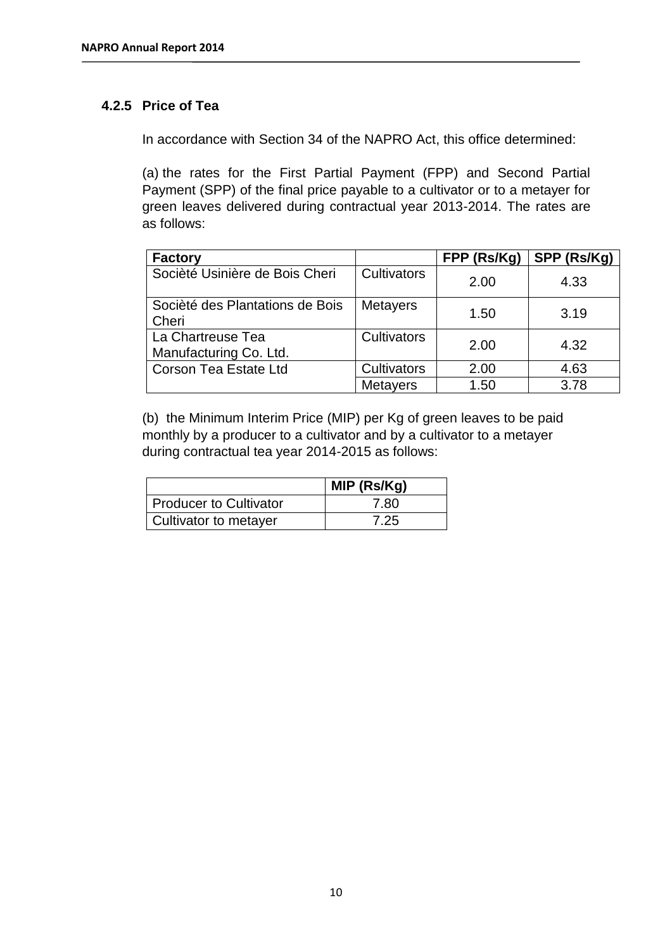## **4.2.5 Price of Tea**

In accordance with Section 34 of the NAPRO Act, this office determined:

(a) the rates for the First Partial Payment (FPP) and Second Partial Payment (SPP) of the final price payable to a cultivator or to a metayer for green leaves delivered during contractual year 2013-2014. The rates are as follows:

| <b>Factory</b>                              |                 | FPP (Rs/Kg) | SPP (Rs/Kg) |
|---------------------------------------------|-----------------|-------------|-------------|
| Socièté Usinière de Bois Cheri              | Cultivators     | 2.00        | 4.33        |
| Socièté des Plantations de Bois<br>Cheri    | <b>Metayers</b> | 1.50        | 3.19        |
| La Chartreuse Tea<br>Manufacturing Co. Ltd. | Cultivators     | 2.00        | 4.32        |
| <b>Corson Tea Estate Ltd</b>                | Cultivators     | 2.00        | 4.63        |
|                                             | <b>Metayers</b> | 1.50        | 3.78        |

(b) the Minimum Interim Price (MIP) per Kg of green leaves to be paid monthly by a producer to a cultivator and by a cultivator to a metayer during contractual tea year 2014-2015 as follows:

|                        | MIP (Rs/Kg) |
|------------------------|-------------|
| Producer to Cultivator | 7.80        |
| Cultivator to metayer  | 7.25        |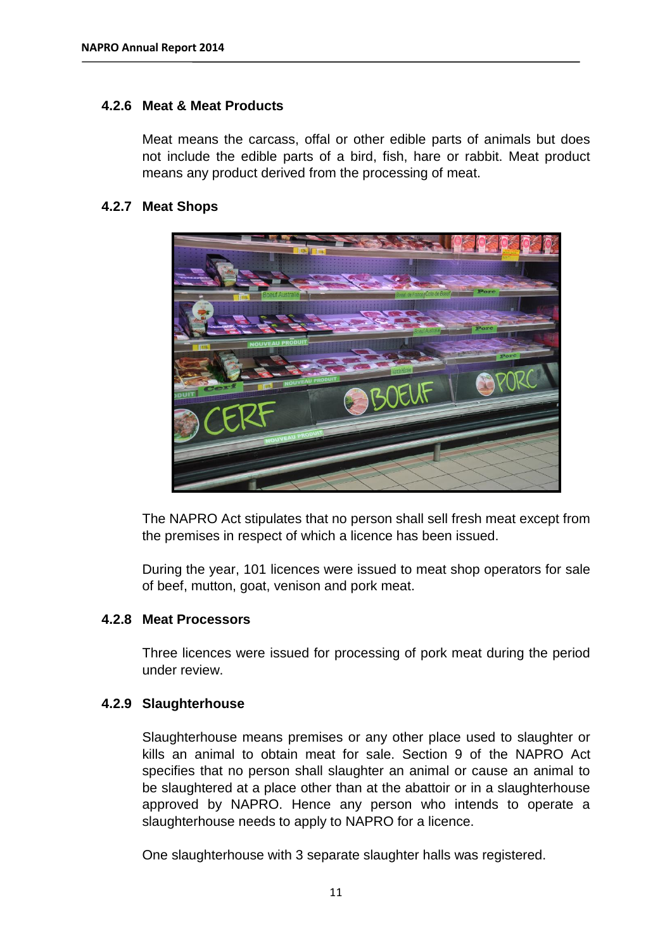#### **4.2.6 Meat & Meat Products**

Meat means the carcass, offal or other edible parts of animals but does not include the edible parts of a bird, fish, hare or rabbit. Meat product means any product derived from the processing of meat.

#### **4.2.7 Meat Shops**



The NAPRO Act stipulates that no person shall sell fresh meat except from the premises in respect of which a licence has been issued.

During the year, 101 licences were issued to meat shop operators for sale of beef, mutton, goat, venison and pork meat.

#### **4.2.8 Meat Processors**

Three licences were issued for processing of pork meat during the period under review.

#### **4.2.9 Slaughterhouse**

Slaughterhouse means premises or any other place used to slaughter or kills an animal to obtain meat for sale. Section 9 of the NAPRO Act specifies that no person shall slaughter an animal or cause an animal to be slaughtered at a place other than at the abattoir or in a slaughterhouse approved by NAPRO. Hence any person who intends to operate a slaughterhouse needs to apply to NAPRO for a licence.

One slaughterhouse with 3 separate slaughter halls was registered.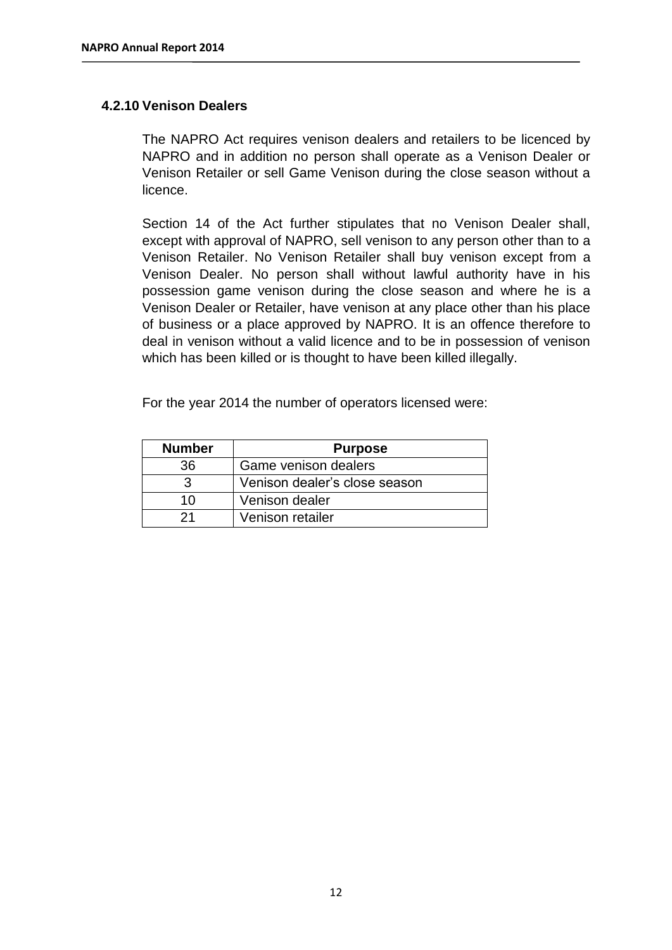#### **4.2.10 Venison Dealers**

The NAPRO Act requires venison dealers and retailers to be licenced by NAPRO and in addition no person shall operate as a Venison Dealer or Venison Retailer or sell Game Venison during the close season without a licence.

Section 14 of the Act further stipulates that no Venison Dealer shall, except with approval of NAPRO, sell venison to any person other than to a Venison Retailer. No Venison Retailer shall buy venison except from a Venison Dealer. No person shall without lawful authority have in his possession game venison during the close season and where he is a Venison Dealer or Retailer, have venison at any place other than his place of business or a place approved by NAPRO. It is an offence therefore to deal in venison without a valid licence and to be in possession of venison which has been killed or is thought to have been killed illegally.

For the year 2014 the number of operators licensed were:

| <b>Number</b> | <b>Purpose</b>                |
|---------------|-------------------------------|
| 36            | Game venison dealers          |
| 3             | Venison dealer's close season |
| 10            | Venison dealer                |
| 21            | Venison retailer              |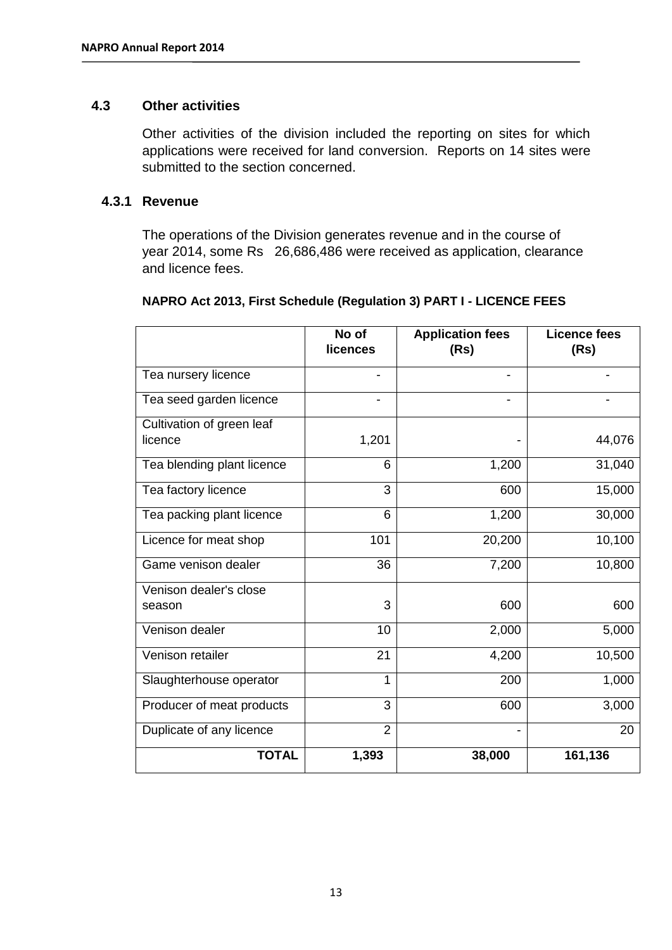#### **4.3 Other activities**

Other activities of the division included the reporting on sites for which applications were received for land conversion. Reports on 14 sites were submitted to the section concerned.

#### **4.3.1 Revenue**

The operations of the Division generates revenue and in the course of year 2014, some Rs 26,686,486 were received as application, clearance and licence fees.

|                            | No of<br>licences | <b>Application fees</b><br>(Rs) | <b>Licence fees</b><br>(Rs) |
|----------------------------|-------------------|---------------------------------|-----------------------------|
| Tea nursery licence        | -                 | $\overline{\phantom{a}}$        |                             |
| Tea seed garden licence    |                   | -                               |                             |
| Cultivation of green leaf  |                   |                                 |                             |
| licence                    | 1,201             |                                 | 44,076                      |
| Tea blending plant licence | 6                 | 1,200                           | 31,040                      |
| Tea factory licence        | 3                 | 600                             | 15,000                      |
| Tea packing plant licence  | 6                 | 1,200                           | 30,000                      |
| Licence for meat shop      | 101               | 20,200                          | 10,100                      |
| Game venison dealer        | 36                | 7,200                           | 10,800                      |
| Venison dealer's close     |                   |                                 |                             |
| season                     | 3                 | 600                             | 600                         |
| Venison dealer             | 10                | 2,000                           | 5,000                       |
| Venison retailer           | 21                | 4,200                           | 10,500                      |
| Slaughterhouse operator    | $\mathbf{1}$      | 200                             | 1,000                       |
| Producer of meat products  | 3                 | 600                             | 3,000                       |
| Duplicate of any licence   | $\overline{2}$    |                                 | 20                          |
| <b>TOTAL</b>               | 1,393             | 38,000                          | 161,136                     |

#### **NAPRO Act 2013, First Schedule (Regulation 3) PART I - LICENCE FEES**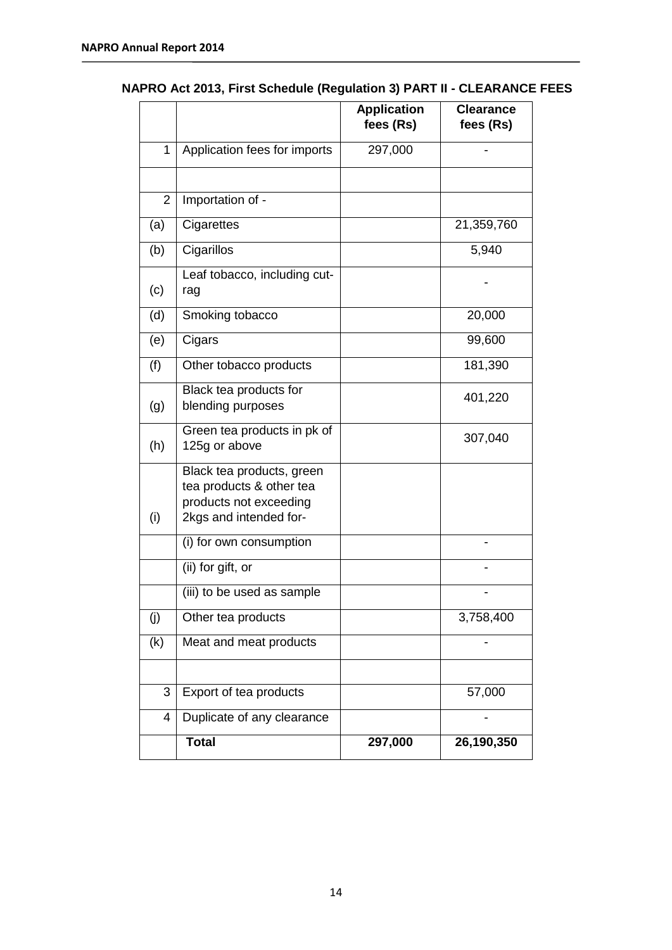|                |                                                                                                           | <b>Application</b><br>fees (Rs) | <b>Clearance</b><br>fees (Rs) |
|----------------|-----------------------------------------------------------------------------------------------------------|---------------------------------|-------------------------------|
| $\mathbf{1}$   | Application fees for imports                                                                              | 297,000                         |                               |
|                |                                                                                                           |                                 |                               |
| $\overline{2}$ | Importation of -                                                                                          |                                 |                               |
| (a)            | Cigarettes                                                                                                |                                 | 21,359,760                    |
| (b)            | Cigarillos                                                                                                |                                 | 5,940                         |
| (c)            | Leaf tobacco, including cut-<br>rag                                                                       |                                 |                               |
| (d)            | Smoking tobacco                                                                                           |                                 | 20,000                        |
| (e)            | Cigars                                                                                                    |                                 | 99,600                        |
| (f)            | Other tobacco products                                                                                    |                                 | 181,390                       |
| (g)            | Black tea products for<br>blending purposes                                                               |                                 | 401,220                       |
| (h)            | Green tea products in pk of<br>125g or above                                                              |                                 | 307,040                       |
| (i)            | Black tea products, green<br>tea products & other tea<br>products not exceeding<br>2kgs and intended for- |                                 |                               |
|                | (i) for own consumption                                                                                   |                                 |                               |
|                | (ii) for gift, or                                                                                         |                                 |                               |
|                | (iii) to be used as sample                                                                                |                                 |                               |
| (j)            | Other tea products                                                                                        |                                 | 3,758,400                     |
| (k)            | Meat and meat products                                                                                    |                                 |                               |
| 3              | Export of tea products                                                                                    |                                 | 57,000                        |
| 4              | Duplicate of any clearance                                                                                |                                 |                               |
|                | <b>Total</b>                                                                                              | 297,000                         | 26,190,350                    |

## **NAPRO Act 2013, First Schedule (Regulation 3) PART II - CLEARANCE FEES**